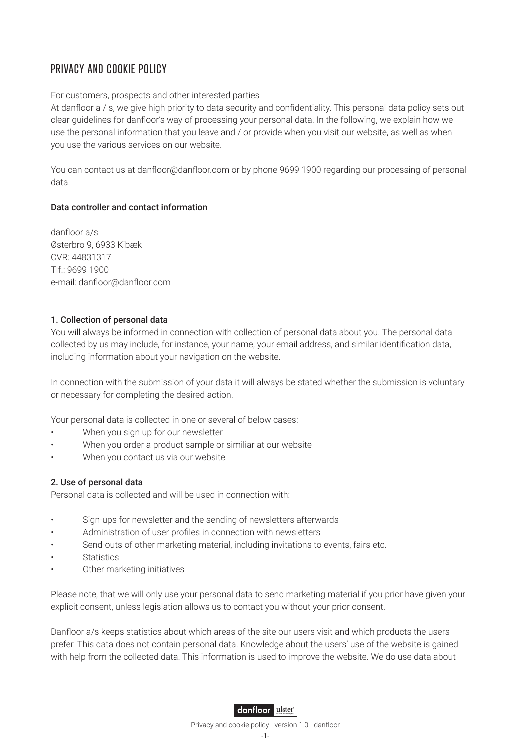# PRIVACY AND COOKIE POLICY

## For customers, prospects and other interested parties

At danfloor a / s, we give high priority to data security and confidentiality. This personal data policy sets out clear guidelines for danfloor's way of processing your personal data. In the following, we explain how we use the personal information that you leave and / or provide when you visit our website, as well as when you use the various services on our website.

You can contact us at danfloor@danfloor.com or by phone 9699 1900 regarding our processing of personal data.

## Data controller and contact information

danfloor a/s Østerbro 9, 6933 Kibæk CVR: 44831317 Tlf.: 9699 1900 e-mail: danfloor@danfloor.com

# 1. Collection of personal data

You will always be informed in connection with collection of personal data about you. The personal data collected by us may include, for instance, your name, your email address, and similar identification data, including information about your navigation on the website.

In connection with the submission of your data it will always be stated whether the submission is voluntary or necessary for completing the desired action.

Your personal data is collected in one or several of below cases:

- When you sign up for our newsletter
- When you order a product sample or similiar at our website
- When you contact us via our website

# 2. Use of personal data

Personal data is collected and will be used in connection with:

- Sign-ups for newsletter and the sending of newsletters afterwards
- Administration of user profiles in connection with newsletters
- Send-outs of other marketing material, including invitations to events, fairs etc.
- **Statistics**
- Other marketing initiatives

Please note, that we will only use your personal data to send marketing material if you prior have given your explicit consent, unless legislation allows us to contact you without your prior consent.

Danfloor a/s keeps statistics about which areas of the site our users visit and which products the users prefer. This data does not contain personal data. Knowledge about the users' use of the website is gained with help from the collected data. This information is used to improve the website. We do use data about

# danfloor uster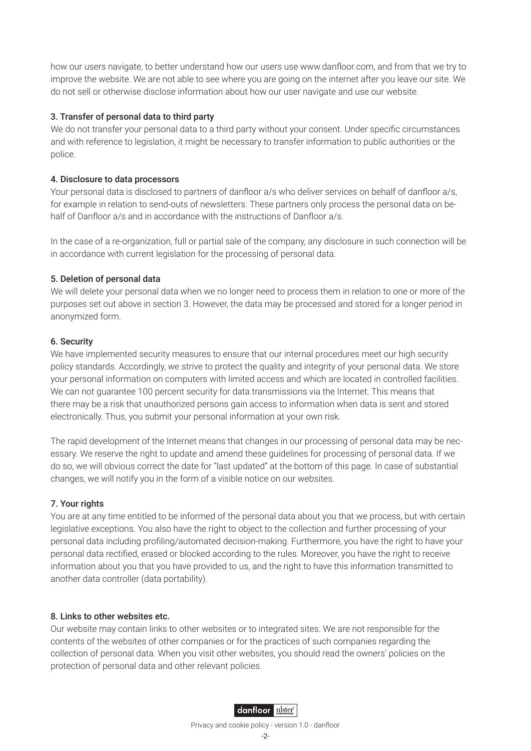how our users navigate, to better understand how our users use www.danfloor.com, and from that we try to improve the website. We are not able to see where you are going on the internet after you leave our site. We do not sell or otherwise disclose information about how our user navigate and use our website.

## 3. Transfer of personal data to third party

We do not transfer your personal data to a third party without your consent. Under specific circumstances and with reference to legislation, it might be necessary to transfer information to public authorities or the police.

## 4. Disclosure to data processors

Your personal data is disclosed to partners of danfloor a/s who deliver services on behalf of danfloor a/s, for example in relation to send-outs of newsletters. These partners only process the personal data on behalf of Danfloor a/s and in accordance with the instructions of Danfloor a/s.

In the case of a re-organization, full or partial sale of the company, any disclosure in such connection will be in accordance with current legislation for the processing of personal data.

## 5. Deletion of personal data

We will delete your personal data when we no longer need to process them in relation to one or more of the purposes set out above in section 3. However, the data may be processed and stored for a longer period in anonymized form.

#### 6. Security

We have implemented security measures to ensure that our internal procedures meet our high security policy standards. Accordingly, we strive to protect the quality and integrity of your personal data. We store your personal information on computers with limited access and which are located in controlled facilities. We can not guarantee 100 percent security for data transmissions via the Internet. This means that there may be a risk that unauthorized persons gain access to information when data is sent and stored electronically. Thus, you submit your personal information at your own risk.

The rapid development of the Internet means that changes in our processing of personal data may be necessary. We reserve the right to update and amend these guidelines for processing of personal data. If we do so, we will obvious correct the date for "last updated" at the bottom of this page. In case of substantial changes, we will notify you in the form of a visible notice on our websites.

# 7. Your rights

You are at any time entitled to be informed of the personal data about you that we process, but with certain legislative exceptions. You also have the right to object to the collection and further processing of your personal data including profiling/automated decision-making. Furthermore, you have the right to have your personal data rectified, erased or blocked according to the rules. Moreover, you have the right to receive information about you that you have provided to us, and the right to have this information transmitted to another data controller (data portability).

#### 8. Links to other websites etc.

Our website may contain links to other websites or to integrated sites. We are not responsible for the contents of the websites of other companies or for the practices of such companies regarding the collection of personal data. When you visit other websites, you should read the owners' policies on the protection of personal data and other relevant policies.

# danfloor uster